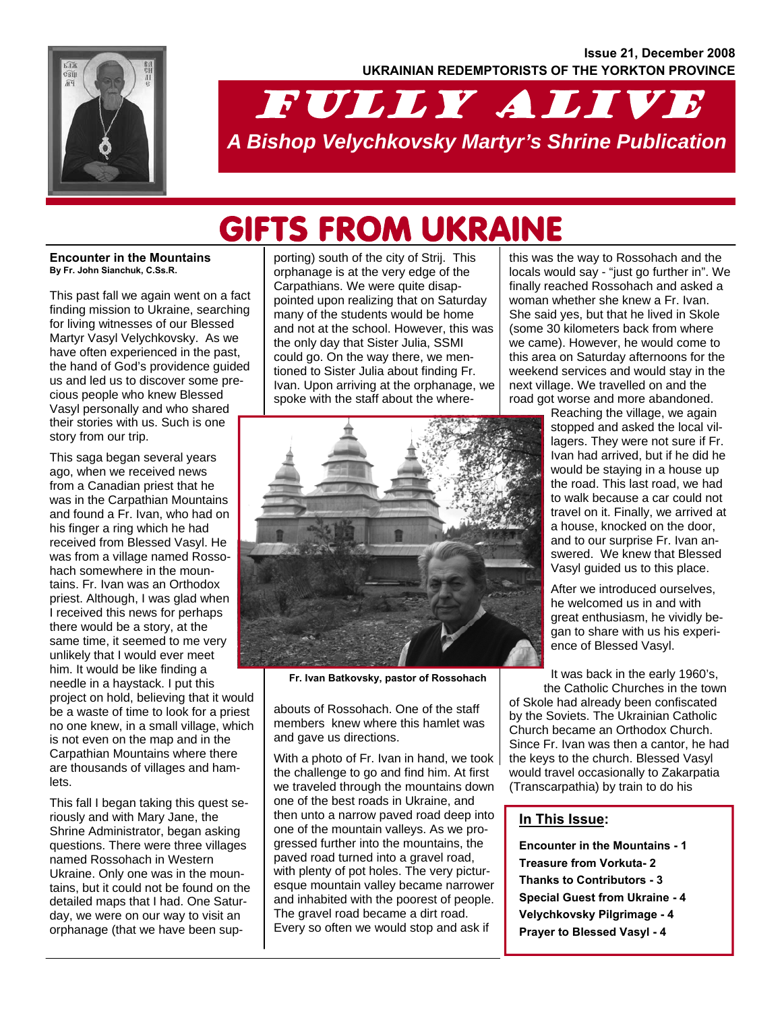

# FULLY ALIVE *A Bishop Velychkovsky Martyr's Shrine Publication*

# GIFTS FROM UKRAINE

#### **Encounter in the Mountains By Fr. John Sianchuk, C.Ss.R.**

This past fall we again went on a fact finding mission to Ukraine, searching for living witnesses of our Blessed Martyr Vasyl Velychkovsky. As we have often experienced in the past, the hand of God's providence guided us and led us to discover some precious people who knew Blessed Vasyl personally and who shared their stories with us. Such is one story from our trip.

This saga began several years ago, when we received news from a Canadian priest that he was in the Carpathian Mountains and found a Fr. Ivan, who had on his finger a ring which he had received from Blessed Vasyl. He was from a village named Rossohach somewhere in the mountains. Fr. Ivan was an Orthodox priest. Although, I was glad when I received this news for perhaps there would be a story, at the same time, it seemed to me very unlikely that I would ever meet him. It would be like finding a needle in a haystack. I put this project on hold, believing that it would be a waste of time to look for a priest no one knew, in a small village, which is not even on the map and in the Carpathian Mountains where there are thousands of villages and hamlets.

This fall I began taking this quest seriously and with Mary Jane, the Shrine Administrator, began asking questions. There were three villages named Rossohach in Western Ukraine. Only one was in the mountains, but it could not be found on the detailed maps that I had. One Saturday, we were on our way to visit an orphanage (that we have been supporting) south of the city of Strij. This orphanage is at the very edge of the Carpathians. We were quite disappointed upon realizing that on Saturday many of the students would be home and not at the school. However, this was the only day that Sister Julia, SSMI could go. On the way there, we mentioned to Sister Julia about finding Fr. Ivan. Upon arriving at the orphanage, we spoke with the staff about the where-



**Fr. Ivan Batkovsky, pastor of Rossohach** 

abouts of Rossohach. One of the staff members knew where this hamlet was and gave us directions.

With a photo of Fr. Ivan in hand, we took the challenge to go and find him. At first we traveled through the mountains down one of the best roads in Ukraine, and then unto a narrow paved road deep into one of the mountain valleys. As we progressed further into the mountains, the paved road turned into a gravel road, with plenty of pot holes. The very picturesque mountain valley became narrower and inhabited with the poorest of people. The gravel road became a dirt road. Every so often we would stop and ask if

this was the way to Rossohach and the locals would say - "just go further in". We finally reached Rossohach and asked a woman whether she knew a Fr. Ivan. She said yes, but that he lived in Skole (some 30 kilometers back from where we came). However, he would come to this area on Saturday afternoons for the weekend services and would stay in the next village. We travelled on and the road got worse and more abandoned.

Reaching the village, we again stopped and asked the local villagers. They were not sure if Fr. Ivan had arrived, but if he did he would be staying in a house up the road. This last road, we had to walk because a car could not travel on it. Finally, we arrived at a house, knocked on the door, and to our surprise Fr. Ivan answered. We knew that Blessed Vasyl guided us to this place.

After we introduced ourselves, he welcomed us in and with great enthusiasm, he vividly began to share with us his experience of Blessed Vasyl.

It was back in the early 1960's, the Catholic Churches in the town of Skole had already been confiscated by the Soviets. The Ukrainian Catholic Church became an Orthodox Church. Since Fr. Ivan was then a cantor, he had the keys to the church. Blessed Vasyl

would travel occasionally to Zakarpatia (Transcarpathia) by train to do his

### **In This Issue:**

**Encounter in the Mountains - 1 Treasure from Vorkuta- 2 Thanks to Contributors - 3 Special Guest from Ukraine - 4 Velychkovsky Pilgrimage - 4 Prayer to Blessed Vasyl - 4**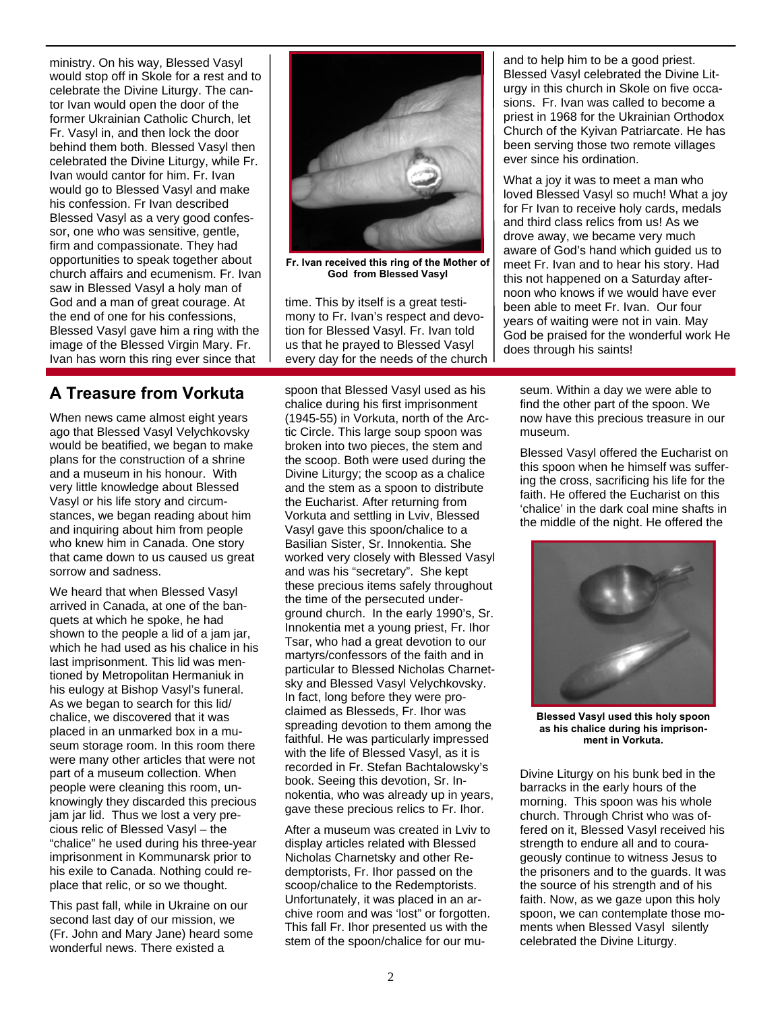ministry. On his way, Blessed Vasyl would stop off in Skole for a rest and to celebrate the Divine Liturgy. The cantor Ivan would open the door of the former Ukrainian Catholic Church, let Fr. Vasyl in, and then lock the door behind them both. Blessed Vasyl then celebrated the Divine Liturgy, while Fr. Ivan would cantor for him. Fr. Ivan would go to Blessed Vasyl and make his confession. Fr Ivan described Blessed Vasyl as a very good confessor, one who was sensitive, gentle, firm and compassionate. They had opportunities to speak together about church affairs and ecumenism. Fr. Ivan saw in Blessed Vasyl a holy man of God and a man of great courage. At the end of one for his confessions, Blessed Vasyl gave him a ring with the image of the Blessed Virgin Mary. Fr. Ivan has worn this ring ever since that



**Fr. Ivan received this ring of the Mother of God from Blessed Vasyl** 

time. This by itself is a great testimony to Fr. Ivan's respect and devotion for Blessed Vasyl. Fr. Ivan told us that he prayed to Blessed Vasyl every day for the needs of the church and to help him to be a good priest. Blessed Vasyl celebrated the Divine Liturgy in this church in Skole on five occasions. Fr. Ivan was called to become a priest in 1968 for the Ukrainian Orthodox Church of the Kyivan Patriarcate. He has been serving those two remote villages ever since his ordination.

What a joy it was to meet a man who loved Blessed Vasyl so much! What a joy for Fr Ivan to receive holy cards, medals and third class relics from us! As we drove away, we became very much aware of God's hand which guided us to meet Fr. Ivan and to hear his story. Had this not happened on a Saturday afternoon who knows if we would have ever been able to meet Fr. Ivan. Our four years of waiting were not in vain. May God be praised for the wonderful work He does through his saints!

## **A Treasure from Vorkuta**

When news came almost eight years ago that Blessed Vasyl Velychkovsky would be beatified, we began to make plans for the construction of a shrine and a museum in his honour. With very little knowledge about Blessed Vasyl or his life story and circumstances, we began reading about him and inquiring about him from people who knew him in Canada. One story that came down to us caused us great sorrow and sadness.

We heard that when Blessed Vasyl arrived in Canada, at one of the banquets at which he spoke, he had shown to the people a lid of a jam jar, which he had used as his chalice in his last imprisonment. This lid was mentioned by Metropolitan Hermaniuk in his eulogy at Bishop Vasyl's funeral. As we began to search for this lid/ chalice, we discovered that it was placed in an unmarked box in a museum storage room. In this room there were many other articles that were not part of a museum collection. When people were cleaning this room, unknowingly they discarded this precious jam jar lid. Thus we lost a very precious relic of Blessed Vasyl – the "chalice" he used during his three-year imprisonment in Kommunarsk prior to his exile to Canada. Nothing could replace that relic, or so we thought.

This past fall, while in Ukraine on our second last day of our mission, we (Fr. John and Mary Jane) heard some wonderful news. There existed a

spoon that Blessed Vasyl used as his chalice during his first imprisonment (1945-55) in Vorkuta, north of the Arctic Circle. This large soup spoon was broken into two pieces, the stem and the scoop. Both were used during the Divine Liturgy; the scoop as a chalice and the stem as a spoon to distribute the Eucharist. After returning from Vorkuta and settling in Lviv, Blessed Vasyl gave this spoon/chalice to a Basilian Sister, Sr. Innokentia. She worked very closely with Blessed Vasyl and was his "secretary". She kept these precious items safely throughout the time of the persecuted underground church. In the early 1990's, Sr. Innokentia met a young priest, Fr. Ihor Tsar, who had a great devotion to our martyrs/confessors of the faith and in particular to Blessed Nicholas Charnetsky and Blessed Vasyl Velychkovsky. In fact, long before they were proclaimed as Blesseds, Fr. Ihor was spreading devotion to them among the faithful. He was particularly impressed with the life of Blessed Vasyl, as it is recorded in Fr. Stefan Bachtalowsky's book. Seeing this devotion, Sr. Innokentia, who was already up in years, gave these precious relics to Fr. Ihor.

After a museum was created in Lviv to display articles related with Blessed Nicholas Charnetsky and other Redemptorists, Fr. Ihor passed on the scoop/chalice to the Redemptorists. Unfortunately, it was placed in an archive room and was 'lost" or forgotten. This fall Fr. Ihor presented us with the stem of the spoon/chalice for our mu-

seum. Within a day we were able to find the other part of the spoon. We now have this precious treasure in our museum.

Blessed Vasyl offered the Eucharist on this spoon when he himself was suffering the cross, sacrificing his life for the faith. He offered the Eucharist on this 'chalice' in the dark coal mine shafts in the middle of the night. He offered the



**Blessed Vasyl used this holy spoon as his chalice during his imprisonment in Vorkuta.** 

Divine Liturgy on his bunk bed in the barracks in the early hours of the morning. This spoon was his whole church. Through Christ who was offered on it, Blessed Vasyl received his strength to endure all and to courageously continue to witness Jesus to the prisoners and to the guards. It was the source of his strength and of his faith. Now, as we gaze upon this holy spoon, we can contemplate those moments when Blessed Vasyl silently celebrated the Divine Liturgy.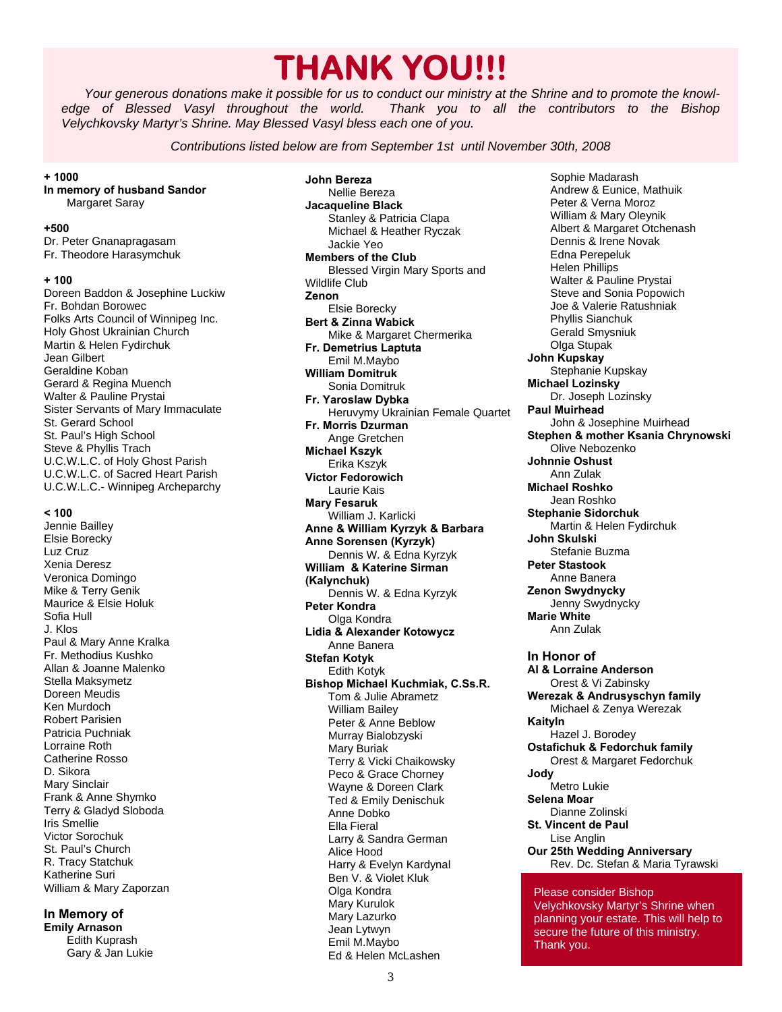# **THANK YOU!!!**

*Your generous donations make it possible for us to conduct our ministry at the Shrine and to promote the knowledge of Blessed Vasyl throughout the world. Thank you to all the contributors to the Bishop Velychkovsky Martyr's Shrine. May Blessed Vasyl bless each one of you.* 

*Contributions listed below are from September 1st until November 30th, 2008* 

**+ 1000** 

#### **In memory of husband Sandor**  Margaret Saray

#### **+500**

Dr. Peter Gnanapragasam Fr. Theodore Harasymchuk

#### **+ 100**

Doreen Baddon & Josephine Luckiw Fr. Bohdan Borowec Folks Arts Council of Winnipeg Inc. Holy Ghost Ukrainian Church Martin & Helen Fydirchuk Jean Gilbert Geraldine Koban Gerard & Regina Muench Walter & Pauline Prystai Sister Servants of Mary Immaculate St. Gerard School St. Paul's High School Steve & Phyllis Trach U.C.W.L.C. of Holy Ghost Parish U.C.W.L.C. of Sacred Heart Parish U.C.W.L.C.- Winnipeg Archeparchy

#### **< 100**

Jennie Bailley Elsie Borecky Luz Cruz Xenia Deresz Veronica Domingo Mike & Terry Genik Maurice & Elsie Holuk Sofia Hull J. Klos Paul & Mary Anne Kralka Fr. Methodius Kushko Allan & Joanne Malenko Stella Maksymetz Doreen Meudis Ken Murdoch Robert Parisien Patricia Puchniak Lorraine Roth Catherine Rosso D. Sikora Mary Sinclair Frank & Anne Shymko Terry & Gladyd Sloboda Iris Smellie Victor Sorochuk St. Paul's Church R. Tracy Statchuk Katherine Suri William & Mary Zaporzan

#### **In Memory of**

**Emily Arnason**  Edith Kuprash Gary & Jan Lukie **John Bereza**  Nellie Bereza **Jacaqueline Black**  Stanley & Patricia Clapa Michael & Heather Ryczak Jackie Yeo **Members of the Club**  Blessed Virgin Mary Sports and Wildlife Club **Zenon**  Elsie Borecky **Bert & Zinna Wabick**  Mike & Margaret Chermerika **Fr. Demetrius Laptuta**  Emil M.Maybo **William Domitruk**  Sonia Domitruk **Fr. Yaroslaw Dybka**  Heruvymy Ukrainian Female Quartet **Fr. Morris Dzurman**  Ange Gretchen **Michael Kszyk**  Erika Kszyk **Victor Fedorowich**  Laurie Kais **Mary Fesaruk**  William J. Karlicki **Anne & William Kyrzyk & Barbara Anne Sorensen (Kyrzyk)**  Dennis W. & Edna Kyrzyk **William & Katerine Sirman (Kalynchuk)**  Dennis W. & Edna Kyrzyk **Peter Kondra**  Olga Kondra **Lidia & Alexander Коtowycz**  Anne Banera **Stefan Kotyk**  Edith Kotyk **Bishop Michael Kuchmiak, C.Ss.R.**  Tom & Julie Abrametz William Bailey Peter & Anne Beblow Murray Bialobzyski Mary Buriak Terry & Vicki Chaikowsky Peco & Grace Chorney Wayne & Doreen Clark Ted & Emily Denischuk Anne Dobko Ella Fieral Larry & Sandra German Alice Hood Harry & Evelyn Kardynal Ben V. & Violet Kluk Olga Kondra Mary Kurulok Mary Lazurko Jean Lytwyn Emil M.Maybo Ed & Helen McLashen

 Sophie Madarash Andrew & Eunice, Mathuik Peter & Verna Moroz William & Mary Oleynik Albert & Margaret Otchenash Dennis & Irene Novak Edna Perepeluk Helen Phillips Walter & Pauline Prystai Steve and Sonia Popowich Joe & Valerie Ratushniak Phyllis Sianchuk Gerald Smysniuk Olga Stupak **John Kupskay**  Stephanie Kupskay **Michael Lozinsky**  Dr. Joseph Lozinsky **Paul Muirhead**  John & Josephine Muirhead **Stephen & mother Ksania Chrynowski**  Olive Nebozenko **Johnnie Oshust**  Ann Zulak **Michael Roshko**  Jean Roshko **Stephanie Sidorchuk**  Martin & Helen Fydirchuk **John Skulski**  Stefanie Buzma **Peter Stastook**  Anne Banera **Zenon Swydnycky**  Jenny Swydnycky **Marie White**  Ann Zulak **In Honor of Al & Lorraine Anderson**  Orest & Vi Zabinsky **Werezak & Andrusyschyn family**  Michael & Zenya Werezak **Kaityln**  Hazel J. Borodey **Ostafichuk & Fedorchuk family**  Orest & Margaret Fedorchuk **Jody**  Metro Lukie **Selena Moar**  Dianne Zolinski **St. Vincent de Paul**  Lise Anglin **Our 25th Wedding Anniversary**  Rev. Dc. Stefan & Maria Tyrawski

Please consider Bishop Velychkovsky Martyr's Shrine when planning your estate. This will help to secure the future of this ministry. Thank you.